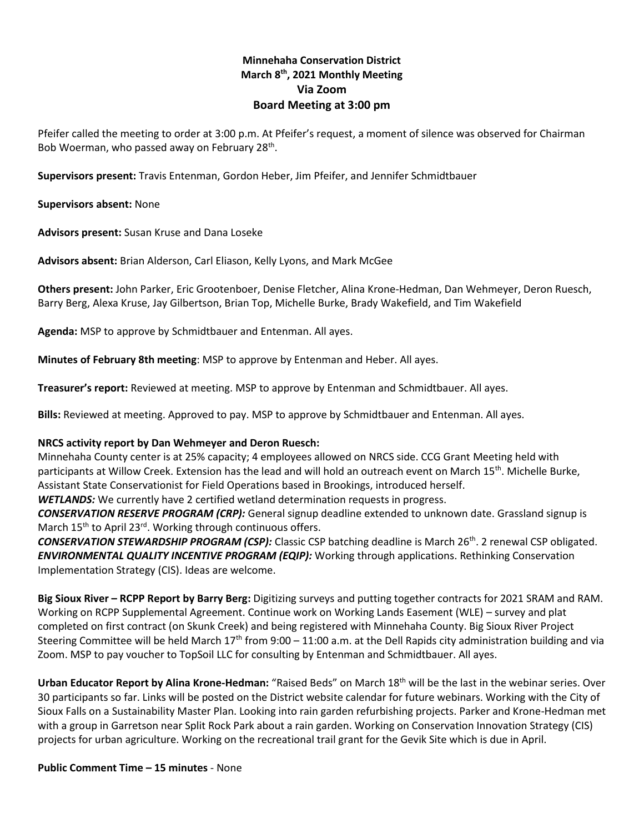# **Minnehaha Conservation District March 8 th, 2021 Monthly Meeting Via Zoom Board Meeting at 3:00 pm**

Pfeifer called the meeting to order at 3:00 p.m. At Pfeifer's request, a moment of silence was observed for Chairman Bob Woerman, who passed away on February 28<sup>th</sup>.

**Supervisors present:** Travis Entenman, Gordon Heber, Jim Pfeifer, and Jennifer Schmidtbauer

**Supervisors absent:** None

**Advisors present:** Susan Kruse and Dana Loseke

**Advisors absent:** Brian Alderson, Carl Eliason, Kelly Lyons, and Mark McGee

**Others present:** John Parker, Eric Grootenboer, Denise Fletcher, Alina Krone-Hedman, Dan Wehmeyer, Deron Ruesch, Barry Berg, Alexa Kruse, Jay Gilbertson, Brian Top, Michelle Burke, Brady Wakefield, and Tim Wakefield

**Agenda:** MSP to approve by Schmidtbauer and Entenman. All ayes.

**Minutes of February 8th meeting**: MSP to approve by Entenman and Heber. All ayes.

**Treasurer's report:** Reviewed at meeting. MSP to approve by Entenman and Schmidtbauer. All ayes.

**Bills:** Reviewed at meeting. Approved to pay. MSP to approve by Schmidtbauer and Entenman. All ayes.

#### **NRCS activity report by Dan Wehmeyer and Deron Ruesch:**

Minnehaha County center is at 25% capacity; 4 employees allowed on NRCS side. CCG Grant Meeting held with participants at Willow Creek. Extension has the lead and will hold an outreach event on March 15<sup>th</sup>. Michelle Burke, Assistant State Conservationist for Field Operations based in Brookings, introduced herself.

*WETLANDS:* We currently have 2 certified wetland determination requests in progress.

*CONSERVATION RESERVE PROGRAM (CRP):* General signup deadline extended to unknown date. Grassland signup is March 15<sup>th</sup> to April 23<sup>rd</sup>. Working through continuous offers.

*CONSERVATION STEWARDSHIP PROGRAM (CSP):* Classic CSP batching deadline is March 26th. 2 renewal CSP obligated. *ENVIRONMENTAL QUALITY INCENTIVE PROGRAM (EQIP):* Working through applications. Rethinking Conservation Implementation Strategy (CIS). Ideas are welcome.

**Big Sioux River – RCPP Report by Barry Berg:** Digitizing surveys and putting together contracts for 2021 SRAM and RAM. Working on RCPP Supplemental Agreement. Continue work on Working Lands Easement (WLE) – survey and plat completed on first contract (on Skunk Creek) and being registered with Minnehaha County. Big Sioux River Project Steering Committee will be held March  $17<sup>th</sup>$  from  $9:00 - 11:00$  a.m. at the Dell Rapids city administration building and via Zoom. MSP to pay voucher to TopSoil LLC for consulting by Entenman and Schmidtbauer. All ayes.

**Urban Educator Report by Alina Krone-Hedman:** "Raised Beds" on March 18th will be the last in the webinar series. Over 30 participants so far. Links will be posted on the District website calendar for future webinars. Working with the City of Sioux Falls on a Sustainability Master Plan. Looking into rain garden refurbishing projects. Parker and Krone-Hedman met with a group in Garretson near Split Rock Park about a rain garden. Working on Conservation Innovation Strategy (CIS) projects for urban agriculture. Working on the recreational trail grant for the Gevik Site which is due in April.

#### **Public Comment Time – 15 minutes** - None